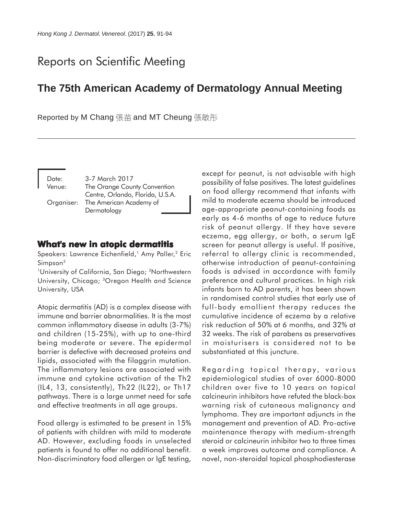# Reports on Scientific Meeting

# **The 75th American Academy of Dermatology Annual Meeting**

Reported by M Chang 張苗 and MT Cheung 張敏彤

| Date:  | 3-7 March 2017                     |
|--------|------------------------------------|
| Venue: | The Orange County Convention       |
|        | Centre, Orlando, Florida, U.S.A.   |
|        | Organiser: The American Academy of |
|        | Dermatology                        |

#### **What's new in atopic dermatitis**

Speakers: Lawrence Eichenfield,<sup>1</sup> Amy Paller,<sup>2</sup> Eric Simpson<sup>3</sup>

<sup>1</sup>University of California, San Diego; <sup>2</sup>Northwestern University, Chicago; 3Oregon Health and Science University, USA

Atopic dermatitis (AD) is a complex disease with immune and barrier abnormalities. It is the most common inflammatory disease in adults (3-7%) and children (15-25%), with up to one-third being moderate or severe. The epidermal barrier is defective with decreased proteins and lipids, associated with the filaggrin mutation. The inflammatory lesions are associated with immune and cytokine activation of the Th2 (IL4, 13, consistently), Th22 (IL22), or Th17 pathways. There is a large unmet need for safe and effective treatments in all age groups.

Food allergy is estimated to be present in 15% of patients with children with mild to moderate AD. However, excluding foods in unselected patients is found to offer no additional benefit. Non-discriminatory food allergen or IgE testing,

except for peanut, is not advisable with high possibility of false positives. The latest guidelines on food allergy recommend that infants with mild to moderate eczema should be introduced age-appropriate peanut-containing foods as early as 4-6 months of age to reduce future risk of peanut allergy. If they have severe eczema, egg allergy, or both, a serum IgE screen for peanut allergy is useful. If positive, referral to allergy clinic is recommended, otherwise introduction of peanut-containing foods is advised in accordance with family preference and cultural practices. In high risk infants born to AD parents, it has been shown in randomised control studies that early use of full-body emollient therapy reduces the cumulative incidence of eczema by a relative risk reduction of 50% at 6 months, and 32% at 32 weeks. The risk of parabens as preservatives in moisturisers is considered not to be substantiated at this juncture.

Regarding topical therapy, various epidemiological studies of over 6000-8000 children over five to 10 years on topical calcineurin inhibitors have refuted the black-box warning risk of cutaneous malignancy and lymphoma. They are important adjuncts in the management and prevention of AD. Pro-active maintenance therapy with medium-strength steroid or calcineurin inhibitor two to three times a week improves outcome and compliance. A novel, non-steroidal topical phosphodiesterase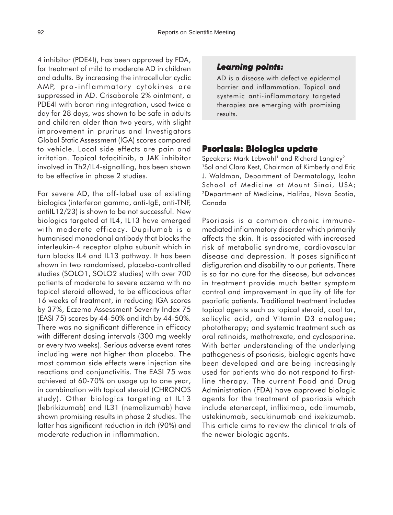4 inhibitor (PDE4I), has been approved by FDA, for treatment of mild to moderate AD in children and adults. By increasing the intracellular cyclic AMP, pro -inflammatory cytokines are suppressed in AD. Crisaborole 2% ointment, a PDE4I with boron ring integration, used twice a day for 28 days, was shown to be safe in adults and children older than two years, with slight improvement in pruritus and Investigators Global Static Assessment (IGA) scores compared to vehicle. Local side effects are pain and irritation. Topical tofacitinib, a JAK inhibitor involved in Th2/IL4-signalling, has been shown to be effective in phase 2 studies.

For severe AD, the off-label use of existing biologics (interferon gamma, anti-IgE, anti-TNF, antilL12/23) is shown to be not successful. New biologics targeted at IL4, IL13 have emerged with moderate efficacy. Dupilumab is a humanised monoclonal antibody that blocks the interleukin-4 receptor alpha subunit which in turn blocks IL4 and IL13 pathway. It has been shown in two randomised, placebo-controlled studies (SOLO1, SOLO2 studies) with over 700 patients of moderate to severe eczema with no topical steroid allowed, to be efficacious after 16 weeks of treatment, in reducing IGA scores by 37%, Eczema Assessment Severity Index 75 (EASI 75) scores by 44-50% and itch by 44-50%. There was no significant difference in efficacy with different dosing intervals (300 mg weekly or every two weeks). Serious adverse event rates including were not higher than placebo. The most common side effects were injection site reactions and conjunctivitis. The EASI 75 was achieved at 60-70% on usage up to one year, in combination with topical steroid (CHRONOS study). Other biologics targeting at IL13 (lebrikizumab) and IL31 (nemolizumab) have shown promising results in phase 2 studies. The latter has significant reduction in itch (90%) and moderate reduction in inflammation.

#### *Learning points: Learning*

AD is a disease with defective epidermal barrier and inflammation. Topical and systemic anti-inflammatory targeted therapies are emerging with promising results.

## **Psoriasis: Biologics update**

Speakers: Mark Lebwohl<sup>1</sup> and Richard Langley<sup>2</sup> <sup>1</sup>Sol and Clara Kest, Chairman of Kimberly and Eric J. Waldman, Department of Dermatology, Icahn School of Medicine at Mount Sinai, USA; 2Department of Medicine, Halifax, Nova Scotia, Canada

Psoriasis is a common chronic immunemediated inflammatory disorder which primarily affects the skin. It is associated with increased risk of metabolic syndrome, cardiovascular disease and depression. It poses significant disfiguration and disability to our patients. There is so far no cure for the disease, but advances in treatment provide much better symptom control and improvement in quality of life for psoriatic patients. Traditional treatment includes topical agents such as topical steroid, coal tar, salicylic acid, and Vitamin D3 analogue; phototherapy; and systemic treatment such as oral retinoids, methotrexate, and cyclosporine. With better understanding of the underlying pathogenesis of psoriasis, biologic agents have been developed and are being increasingly used for patients who do not respond to firstline therapy. The current Food and Drug Administration (FDA) have approved biologic agents for the treatment of psoriasis which include etanercept, infliximab, adalimumab, ustekinumab, secukinumab and ixekizumab. This article aims to review the clinical trials of the newer biologic agents.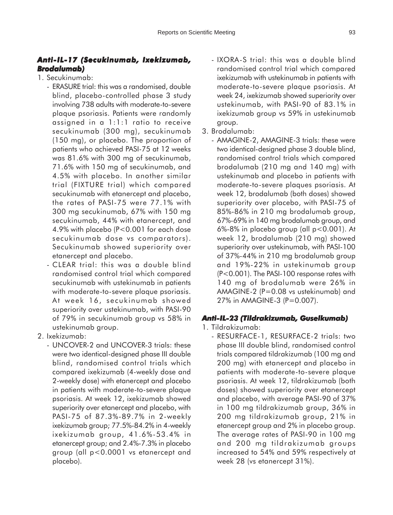## *Anti-IL-17 (Secukinumab, Ixekizumab, ekizumab, Brodalumab)*

1. Secukinumab:

- ERASURE trial: this was a randomised, double blind, placebo-controlled phase 3 study involving 738 adults with moderate-to-severe plaque psoriasis. Patients were randomly assigned in a 1:1:1 ratio to receive secukinumab (300 mg), secukinumab (150 mg), or placebo. The proportion of patients who achieved PASI-75 at 12 weeks was 81.6% with 300 mg of secukinumab, 71.6% with 150 mg of secukinumab, and 4.5% with placebo. In another similar trial (FIXTURE trial) which compared secukinumab with etanercept and placebo, the rates of PASI-75 were 77.1% with 300 mg secukinumab, 67% with 150 mg secukinumab, 44% with etanercept, and 4.9% with placebo (P<0.001 for each dose secukinumab dose vs comparators). Secukinumab showed superiority over etanercept and placebo.
- CLEAR trial: this was a double blind randomised control trial which compared secukinumab with ustekinumab in patients with moderate-to-severe plaque psoriasis. At week 16, secukinumab showed superiority over ustekinumab, with PASI-90 of 79% in secukinumab group vs 58% in ustekinumab group.
- 2. Ixekizumab:
	- UNCOVER-2 and UNCOVER-3 trials: these were two identical-designed phase III double blind, randomised control trials which compared ixekizumab (4-weekly dose and 2-weekly dose) with etanercept and placebo in patients with moderate-to-severe plaque psoriasis. At week 12, ixekizumab showed superiority over etanercept and placebo, with PASI-75 of 87.3%-89.7% in 2-weekly ixekizumab group; 77.5%-84.2% in 4-weekly ixekizumab group, 41.6%-53.4% in etanercept group; and 2.4%-7.3% in placebo group (all p<0.0001 vs etanercept and placebo).
- IXORA-S trial: this was a double blind randomised control trial which compared ixekizumab with ustekinumab in patients with moderate-to-severe plaque psoriasis. At week 24, ixekizumab showed superiority over ustekinumab, with PASI-90 of 83.1% in ixekizumab group vs 59% in ustekinumab group.
- 3. Brodalumab:
	- AMAGINE-2, AMAGINE-3 trials: these were two identical-designed phase 3 double blind, randomised control trials which compared brodalumab (210 mg and 140 mg) with ustekinumab and placebo in patients with moderate-to-severe plaques psoriasis. At week 12, brodalumab (both doses) showed superiority over placebo, with PASI-75 of 85%-86% in 210 mg brodalumab group, 67%-69% in 140 mg brodalumab group, and 6%-8% in placebo group (all p<0.001). At week 12, brodalumab (210 mg) showed superiority over ustekinumab, with PASI-100 of 37%-44% in 210 mg brodalumab group and 19%-22% in ustekinumab group (P<0.001). The PASI-100 response rates with 140 mg of brodalumab were 26% in AMAGINE-2 (P=0.08 vs ustekinumab) and 27% in AMAGINE-3 (P=0.007).

#### *Anti-IL-23 (Tildrakizumab, Guselkumab) -23 (Tildrakizumab, Guselkumab)*

- 1. Tildrakizumab:
	- RESURFACE-1, RESURFACE-2 trials: two phase III double blind, randomised control trials compared tildrakizumab (100 mg and 200 mg) with etanercept and placebo in patients with moderate-to-severe plaque psoriasis. At week 12, tildrakizumab (both doses) showed superiority over etanercept and placebo, with average PASI-90 of 37% in 100 mg tildrakizumab group, 36% in 200 mg tildrakizumab group, 21% in etanercept group and 2% in placebo group. The average rates of PASI-90 in 100 mg and 200 mg tildrakizumab groups increased to 54% and 59% respectively at week 28 (vs etanercept 31%).